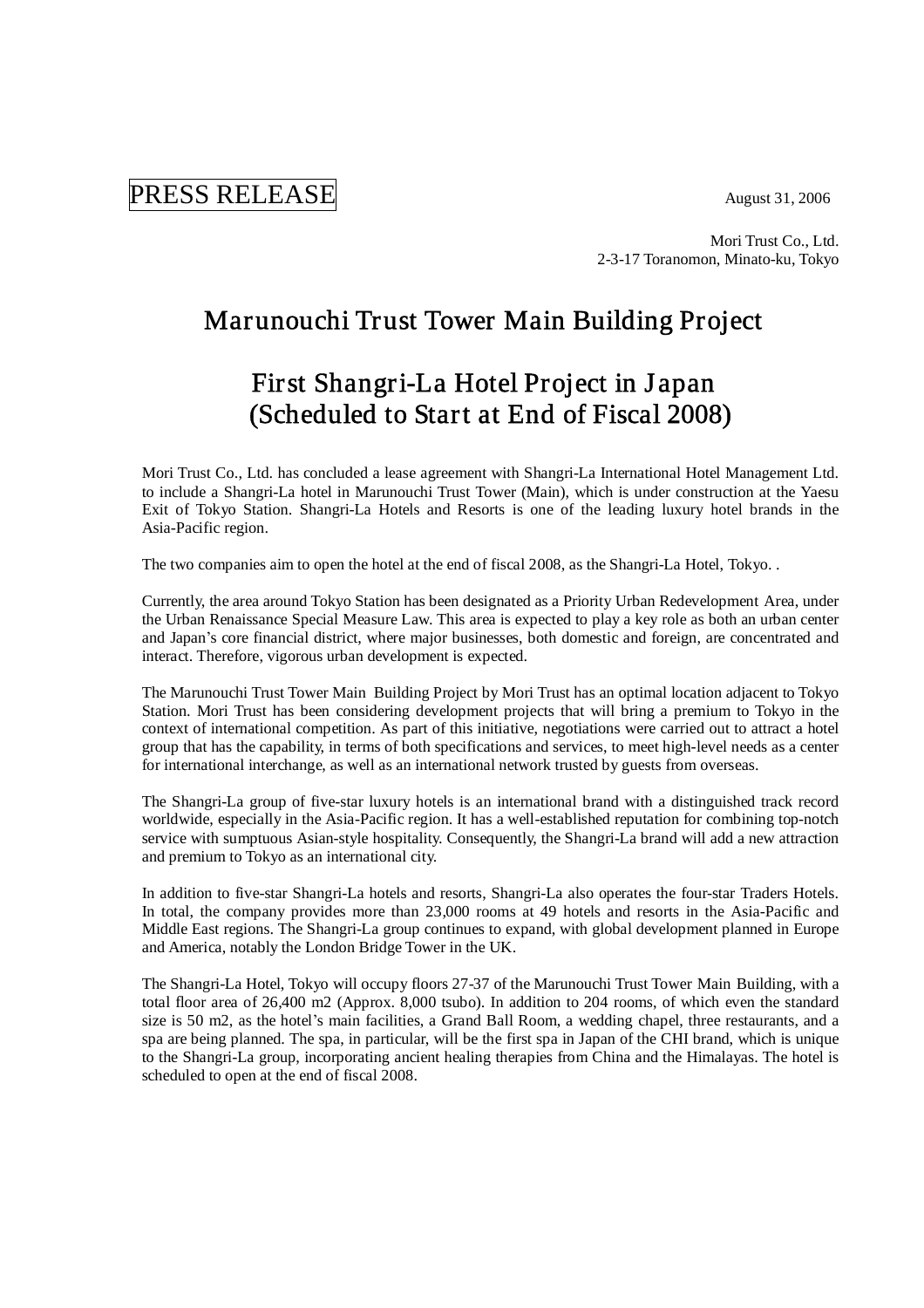# PRESS RELEASE August 31, 2006

Mori Trust Co., Ltd. 2-3-17 Toranomon, Minato-ku, Tokyo

# Marunouchi Trust Tower Main Building Project

# First Shangri-La Hotel Project in J apan (Scheduled to Start at End of Fiscal 2008)

Mori Trust Co., Ltd. has concluded a lease agreement with Shangri-La International Hotel Management Ltd. to include a Shangri-La hotel in Marunouchi Trust Tower (Main), which is under construction at the Yaesu Exit of Tokyo Station. Shangri-La Hotels and Resorts is one of the leading luxury hotel brands in the Asia-Pacific region.

The two companies aim to open the hotel at the end of fiscal 2008, as the Shangri-La Hotel, Tokyo. .

Currently, the area around Tokyo Station has been designated as a Priority Urban Redevelopment Area, under the Urban Renaissance Special Measure Law. This area is expected to play a key role as both an urban center and Japan's core financial district, where major businesses, both domestic and foreign, are concentrated and interact. Therefore, vigorous urban development is expected.

The Marunouchi Trust Tower Main Building Project by Mori Trust has an optimal location adjacent to Tokyo Station. Mori Trust has been considering development projects that will bring a premium to Tokyo in the context of international competition. As part of this initiative, negotiations were carried out to attract a hotel group that has the capability, in terms of both specifications and services, to meet high-level needs as a center for international interchange, as well as an international network trusted by guests from overseas.

The Shangri-La group of five-star luxury hotels is an international brand with a distinguished track record worldwide, especially in the Asia-Pacific region. It has a well-established reputation for combining top-notch service with sumptuous Asian-style hospitality. Consequently, the Shangri-La brand will add a new attraction and premium to Tokyo as an international city.

In addition to five-star Shangri-La hotels and resorts, Shangri-La also operates the four-star Traders Hotels. In total, the company provides more than 23,000 rooms at 49 hotels and resorts in the Asia-Pacific and Middle East regions. The Shangri-La group continues to expand, with global development planned in Europe and America, notably the London Bridge Tower in the UK.

The Shangri-La Hotel, Tokyo will occupy floors 27-37 of the Marunouchi Trust Tower Main Building, with a total floor area of 26,400 m2 (Approx. 8,000 tsubo). In addition to 204 rooms, of which even the standard size is 50 m2, as the hotel's main facilities, a Grand Ball Room, a wedding chapel, three restaurants, and a spa are being planned. The spa, in particular, will be the first spa in Japan of the CHI brand, which is unique to the Shangri-La group, incorporating ancient healing therapies from China and the Himalayas. The hotel is scheduled to open at the end of fiscal 2008.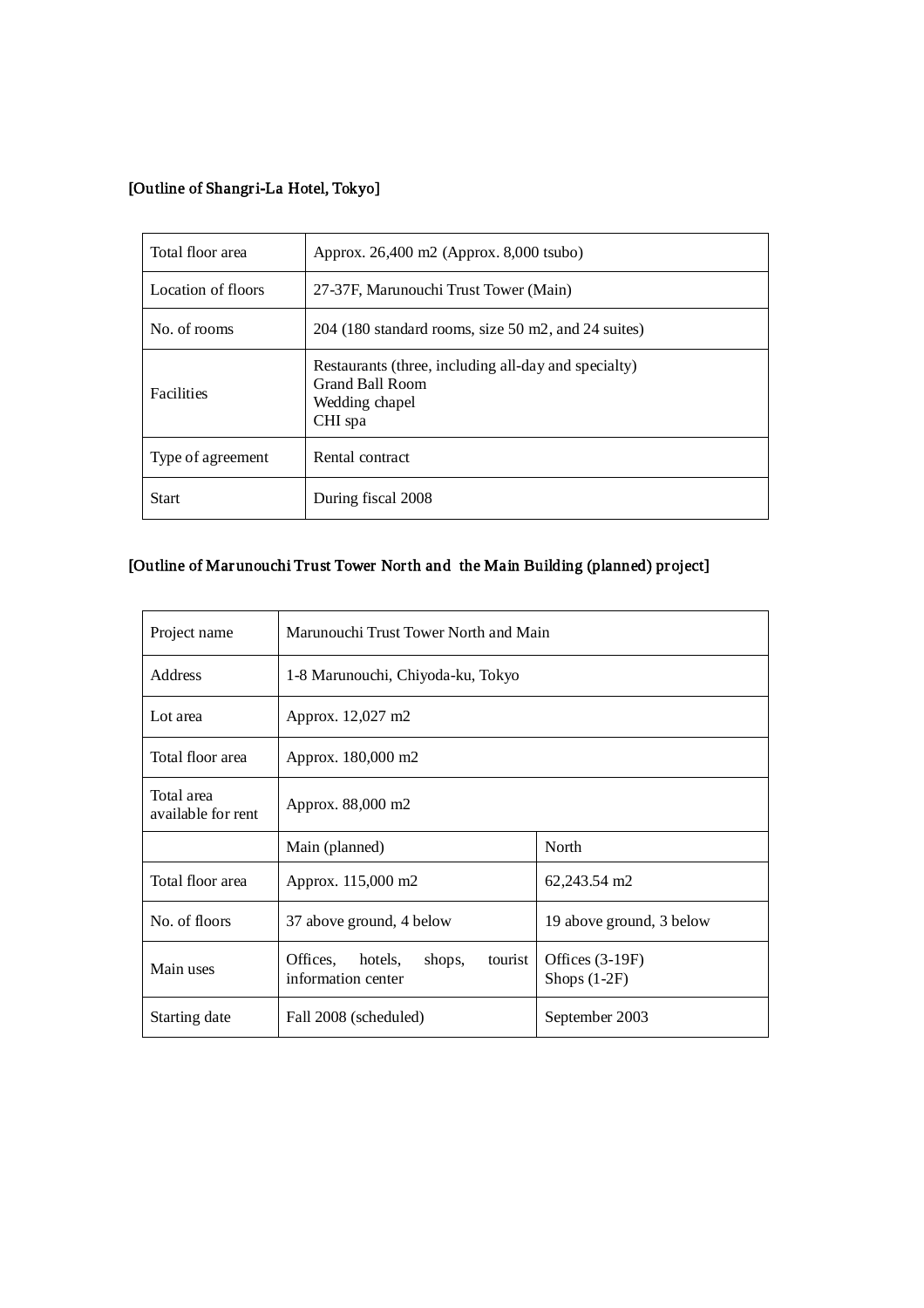### [Outline of Shangri-La Hotel, Tokyo]

| Total floor area   | Approx. 26,400 m2 (Approx. 8,000 tsubo)                                                                     |  |
|--------------------|-------------------------------------------------------------------------------------------------------------|--|
| Location of floors | 27-37F, Marunouchi Trust Tower (Main)                                                                       |  |
| No. of rooms       | 204 (180 standard rooms, size 50 m2, and 24 suites)                                                         |  |
| <b>Facilities</b>  | Restaurants (three, including all-day and specialty)<br><b>Grand Ball Room</b><br>Wedding chapel<br>CHI spa |  |
| Type of agreement  | Rental contract                                                                                             |  |
| <b>Start</b>       | During fiscal 2008                                                                                          |  |

### [Outline of Mar unouchi Trust Tower North and the Main Building (planned) project]

| Project name                     | Marunouchi Trust Tower North and Main                       |                                     |
|----------------------------------|-------------------------------------------------------------|-------------------------------------|
| <b>Address</b>                   | 1-8 Marunouchi, Chiyoda-ku, Tokyo                           |                                     |
| Lot area                         | Approx. 12,027 m2                                           |                                     |
| Total floor area                 | Approx. 180,000 m2                                          |                                     |
| Total area<br>available for rent | Approx. 88,000 m2                                           |                                     |
|                                  | Main (planned)                                              | North                               |
| Total floor area                 | Approx. 115,000 m2                                          | 62,243.54 m2                        |
| No. of floors                    | 37 above ground, 4 below                                    | 19 above ground, 3 below            |
| Main uses                        | Offices, hotels,<br>shops,<br>tourist<br>information center | Offices $(3-19F)$<br>Shops $(1-2F)$ |
| Starting date                    | Fall 2008 (scheduled)                                       | September 2003                      |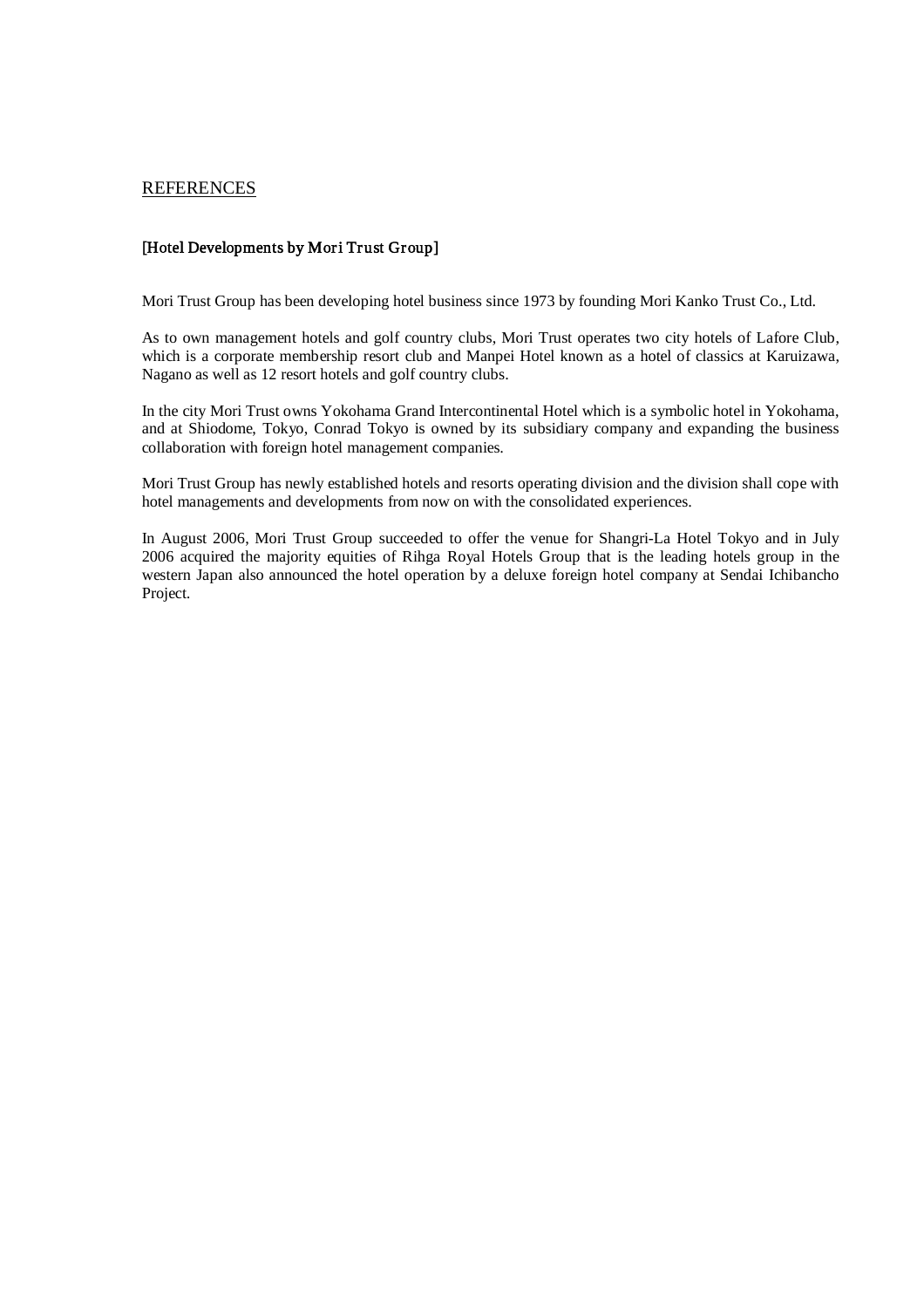#### **REFERENCES**

#### [Hotel Developments by Mori Trust Group]

Mori Trust Group has been developing hotel business since 1973 by founding Mori Kanko Trust Co., Ltd.

As to own management hotels and golf country clubs, Mori Trust operates two city hotels of Lafore Club, which is a corporate membership resort club and Manpei Hotel known as a hotel of classics at Karuizawa, Nagano as well as 12 resort hotels and golf country clubs.

In the city Mori Trust owns Yokohama Grand Intercontinental Hotel which is a symbolic hotel in Yokohama, and at Shiodome, Tokyo, Conrad Tokyo is owned by its subsidiary company and expanding the business collaboration with foreign hotel management companies.

Mori Trust Group has newly established hotels and resorts operating division and the division shall cope with hotel managements and developments from now on with the consolidated experiences.

In August 2006, Mori Trust Group succeeded to offer the venue for Shangri-La Hotel Tokyo and in July 2006 acquired the majority equities of Rihga Royal Hotels Group that is the leading hotels group in the western Japan also announced the hotel operation by a deluxe foreign hotel company at Sendai Ichibancho Project.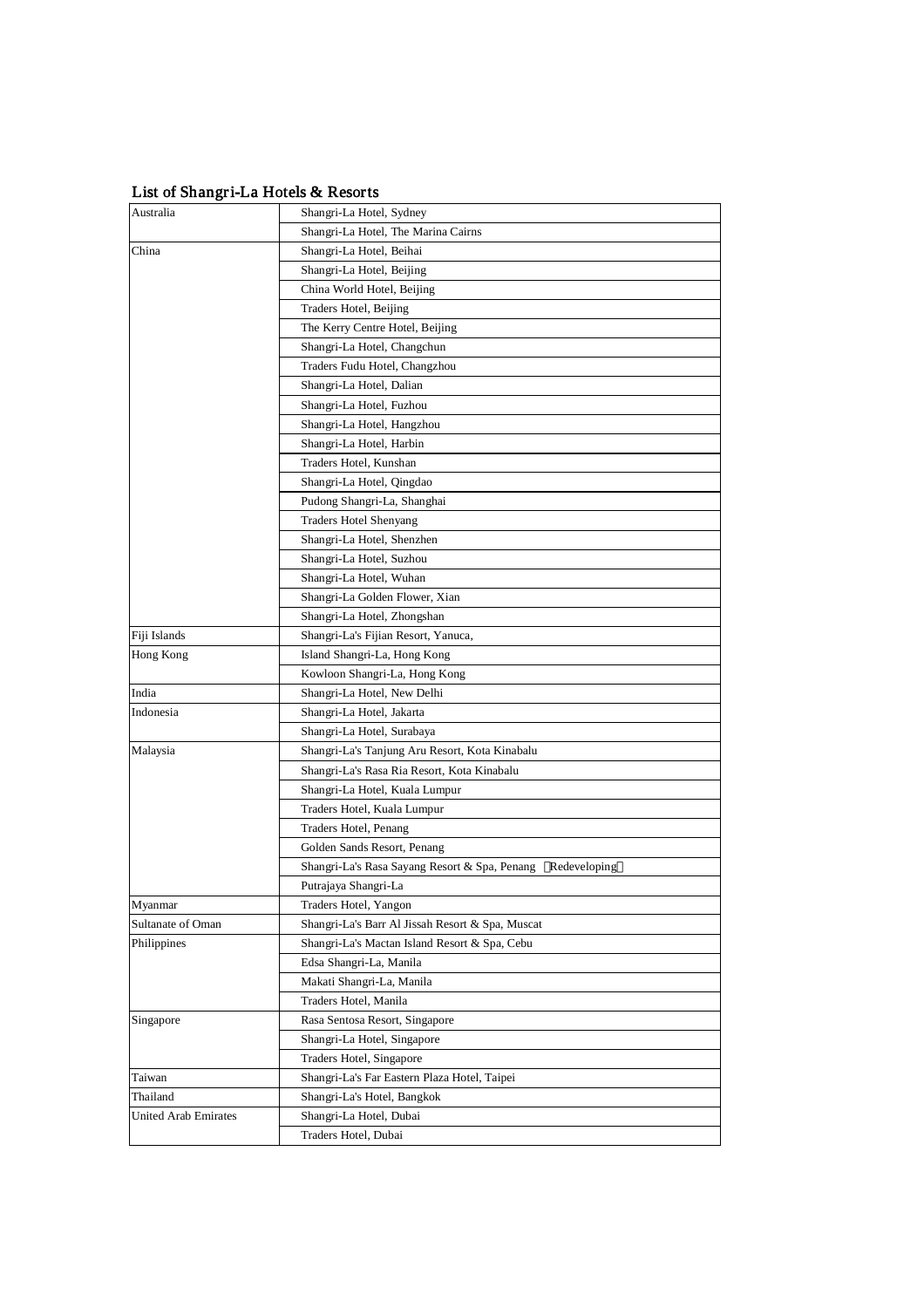| $\frac{1}{2}$ of Binanger Du Hotels & Resorts |                                                               |
|-----------------------------------------------|---------------------------------------------------------------|
| Australia                                     | Shangri-La Hotel, Sydney                                      |
|                                               | Shangri-La Hotel, The Marina Cairns                           |
| China                                         | Shangri-La Hotel, Beihai                                      |
|                                               | Shangri-La Hotel, Beijing                                     |
|                                               | China World Hotel, Beijing                                    |
|                                               | Traders Hotel, Beijing                                        |
|                                               | The Kerry Centre Hotel, Beijing                               |
|                                               | Shangri-La Hotel, Changchun                                   |
|                                               | Traders Fudu Hotel, Changzhou                                 |
|                                               | Shangri-La Hotel, Dalian                                      |
|                                               | Shangri-La Hotel, Fuzhou                                      |
|                                               | Shangri-La Hotel, Hangzhou                                    |
|                                               | Shangri-La Hotel, Harbin                                      |
|                                               | Traders Hotel, Kunshan                                        |
|                                               | Shangri-La Hotel, Qingdao                                     |
|                                               | Pudong Shangri-La, Shanghai                                   |
|                                               | <b>Traders Hotel Shenyang</b>                                 |
|                                               | Shangri-La Hotel, Shenzhen                                    |
|                                               | Shangri-La Hotel, Suzhou                                      |
|                                               | Shangri-La Hotel, Wuhan                                       |
|                                               | Shangri-La Golden Flower, Xian                                |
|                                               | Shangri-La Hotel, Zhongshan                                   |
| Fiji Islands                                  | Shangri-La's Fijian Resort, Yanuca,                           |
| Hong Kong                                     | Island Shangri-La, Hong Kong                                  |
|                                               | Kowloon Shangri-La, Hong Kong                                 |
| India                                         | Shangri-La Hotel, New Delhi                                   |
| Indonesia                                     | Shangri-La Hotel, Jakarta                                     |
|                                               | Shangri-La Hotel, Surabaya                                    |
| Malaysia                                      | Shangri-La's Tanjung Aru Resort, Kota Kinabalu                |
|                                               | Shangri-La's Rasa Ria Resort, Kota Kinabalu                   |
|                                               | Shangri-La Hotel, Kuala Lumpur                                |
|                                               | Traders Hotel, Kuala Lumpur                                   |
|                                               | Traders Hotel, Penang                                         |
|                                               | Golden Sands Resort, Penang                                   |
|                                               | Shangri-La's Rasa Sayang Resort & Spa, Penang<br>Redeveloping |
|                                               | Putrajaya Shangri-La                                          |
| Myanmar                                       | Traders Hotel, Yangon                                         |
| Sultanate of Oman                             | Shangri-La's Barr Al Jissah Resort & Spa, Muscat              |
| Philippines                                   | Shangri-La's Mactan Island Resort & Spa, Cebu                 |
|                                               | Edsa Shangri-La, Manila                                       |
|                                               | Makati Shangri-La, Manila                                     |
|                                               | Traders Hotel, Manila                                         |
| Singapore                                     | Rasa Sentosa Resort, Singapore                                |
|                                               | Shangri-La Hotel, Singapore                                   |
|                                               | Traders Hotel, Singapore                                      |
|                                               | Shangri-La's Far Eastern Plaza Hotel, Taipei                  |
| Taiwan<br>Thailand                            |                                                               |
|                                               | Shangri-La's Hotel, Bangkok                                   |
| United Arab Emirates                          | Shangri-La Hotel, Dubai                                       |
|                                               | Traders Hotel, Dubai                                          |

List of Shangri-La Hotels & Resorts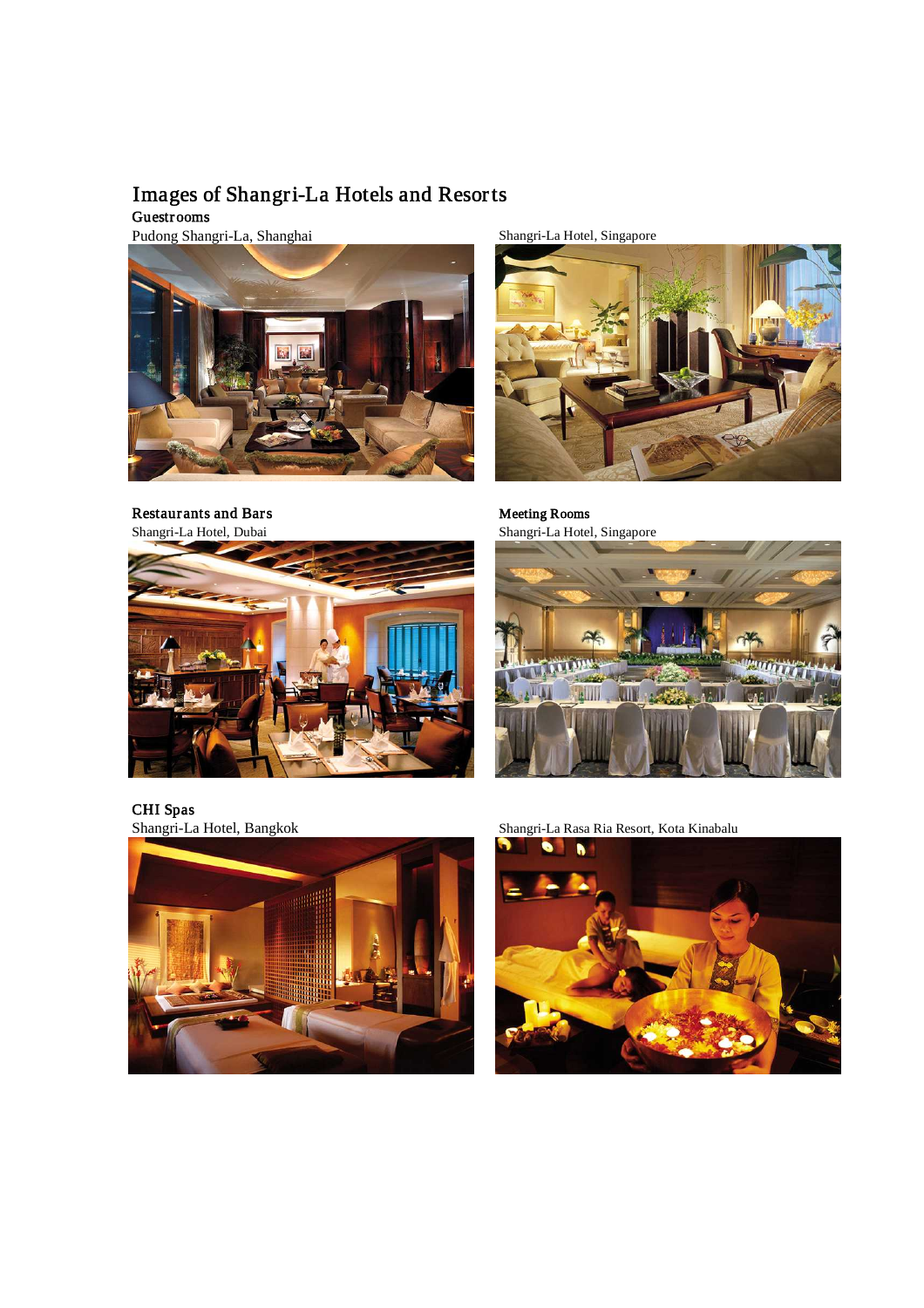## Images of Shangri-La Hotels and Resorts

Guestrooms

Pudong Shangri-La, Shanghai Shanghai Shangri-La Hotel, Singapore



Restaur ants and Bars Meeting Rooms





Shangri-La Hotel, Dubai Shangri-La Hotel, Singapore



CHI Spas<br>Shangri-La Hotel, Bangkok



Shangri-La Rasa Ria Resort, Kota Kinabalu